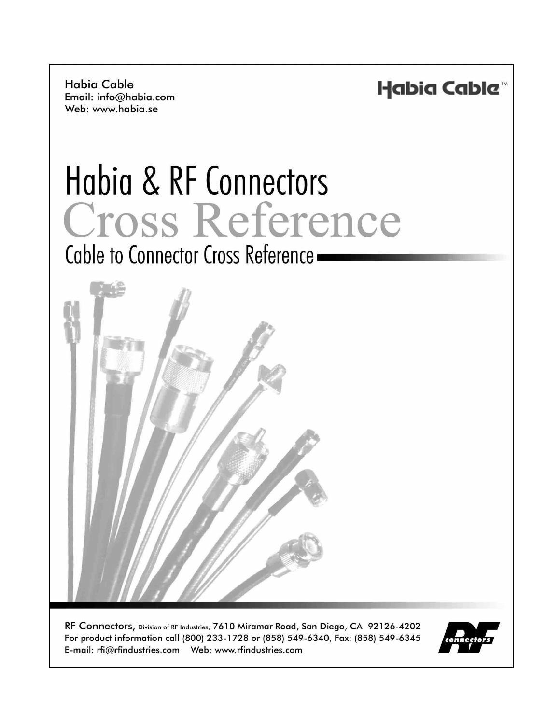**Habia Cable** Email: info@habia.com Web: www.habia.se

Habia Cable™

# Habia & RF Connectors Cross Reference

# Cable to Connector Cross Reference -



RF Connectors, Division of RF Industries, 7610 Miramar Road, San Diego, CA 92126-4202 For product information call (800) 233-1728 or (858) 549-6340, Fax: (858) 549-6345 

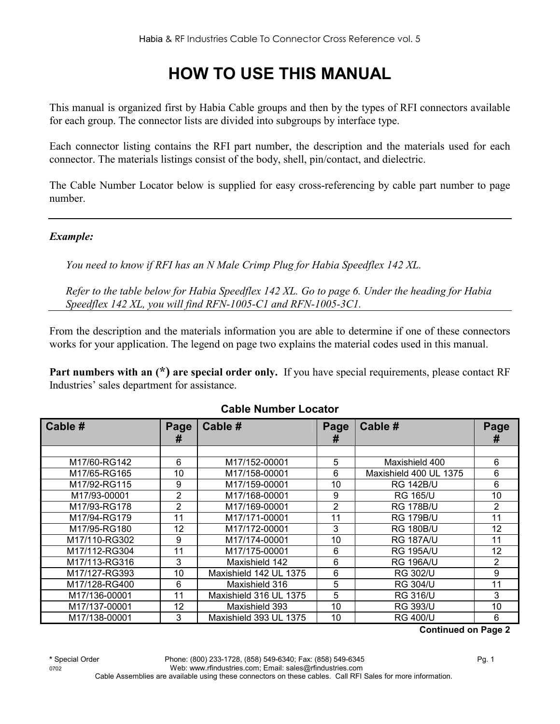## **HOW TO USE THIS MANUAL**

This manual is organized first by Habia Cable groups and then by the types of RFI connectors available for each group. The connector lists are divided into subgroups by interface type.

Each connector listing contains the RFI part number, the description and the materials used for each connector. The materials listings consist of the body, shell, pin/contact, and dielectric.

The Cable Number Locator below is supplied for easy cross-referencing by cable part number to page number.

#### *Example:*

*You need to know if RFI has an N Male Crimp Plug for Habia Speedflex 142 XL.* 

*Refer to the table below for Habia Speedflex 142 XL. Go to page 6. Under the heading for Habia Speedflex 142 XL, you will find RFN-1005-C1 and RFN-1005-3C1.* 

From the description and the materials information you are able to determine if one of these connectors works for your application. The legend on page two explains the material codes used in this manual.

**Part numbers with an (\*) are special order only.** If you have special requirements, please contact RF Industries' sales department for assistance.

| Cable #       | Page<br># | Cable #                | Page<br>Ħ      | Cable #                | Page<br>Ħ         |
|---------------|-----------|------------------------|----------------|------------------------|-------------------|
|               |           |                        |                |                        |                   |
| M17/60-RG142  | 6         | M17/152-00001          | 5              | Maxishield 400         | 6                 |
| M17/65-RG165  | 10        | M17/158-00001          | 6              | Maxishield 400 UL 1375 | 6                 |
| M17/92-RG115  | 9         | M17/159-00001          | 10             | <b>RG 142B/U</b>       | 6                 |
| M17/93-00001  | 2         | M17/168-00001          | 9              | <b>RG 165/U</b>        | 10                |
| M17/93-RG178  | 2         | M17/169-00001          | $\overline{2}$ | <b>RG 178B/U</b>       | $\overline{2}$    |
| M17/94-RG179  | 11        | M17/171-00001          | 11             | <b>RG 179B/U</b>       | 11                |
| M17/95-RG180  | 12        | M17/172-00001          | 3              | <b>RG 180B/U</b>       | $12 \overline{ }$ |
| M17/110-RG302 | 9         | M17/174-00001          | 10             | <b>RG 187A/U</b>       | 11                |
| M17/112-RG304 | 11        | M17/175-00001          | 6              | <b>RG 195A/U</b>       | 12                |
| M17/113-RG316 | 3         | Maxishield 142         | 6              | <b>RG 196A/U</b>       | $\overline{2}$    |
| M17/127-RG393 | 10        | Maxishield 142 UL 1375 | 6              | <b>RG 302/U</b>        | 9                 |
| M17/128-RG400 | 6         | Maxishield 316         | 5              | <b>RG 304/U</b>        | 11                |
| M17/136-00001 | 11        | Maxishield 316 UL 1375 | 5              | <b>RG 316/U</b>        | 3                 |
| M17/137-00001 | 12        | Maxishield 393         | 10             | <b>RG 393/U</b>        | 10                |
| M17/138-00001 | 3         | Maxishield 393 UL 1375 | 10             | <b>RG 400/U</b>        | 6                 |

#### **Cable Number Locator**

**Continued on Page 2**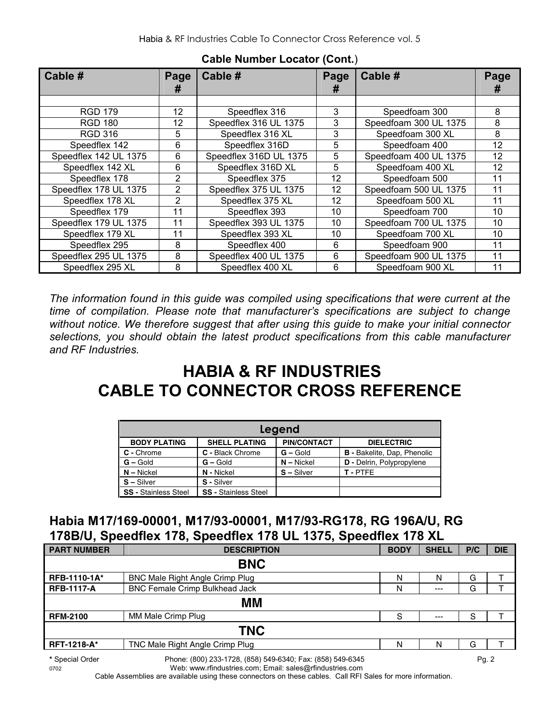| Cable #               | Page<br>#      | Cable #                | Page<br># | Cable #               | Page<br># |
|-----------------------|----------------|------------------------|-----------|-----------------------|-----------|
|                       |                |                        |           |                       |           |
| <b>RGD 179</b>        | 12             | Speedflex 316          | 3         | Speedfoam 300         | 8         |
| <b>RGD 180</b>        | 12             | Speedflex 316 UL 1375  | 3         | Speedfoam 300 UL 1375 | 8         |
| <b>RGD 316</b>        | 5              | Speedflex 316 XL       | 3         | Speedfoam 300 XL      | 8         |
| Speedflex 142         | 6              | Speedflex 316D         | 5         | Speedfoam 400         | 12        |
| Speedflex 142 UL 1375 | 6              | Speedflex 316D UL 1375 | 5         | Speedfoam 400 UL 1375 | 12        |
| Speedflex 142 XL      | 6              | Speedflex 316D XL      | 5         | Speedfoam 400 XL      | 12        |
| Speedflex 178         | $\overline{2}$ | Speedflex 375          | 12        | Speedfoam 500         | 11        |
| Speedflex 178 UL 1375 | $\overline{2}$ | Speedflex 375 UL 1375  | 12        | Speedfoam 500 UL 1375 | 11        |
| Speedflex 178 XL      | $\overline{2}$ | Speedflex 375 XL       | 12        | Speedfoam 500 XL      | 11        |
| Speedflex 179         | 11             | Speedflex 393          | 10        | Speedfoam 700         | 10        |
| Speedflex 179 UL 1375 | 11             | Speedflex 393 UL 1375  | 10        | Speedfoam 700 UL 1375 | 10        |
| Speedflex 179 XL      | 11             | Speedflex 393 XL       | 10        | Speedfoam 700 XL      | 10        |
| Speedflex 295         | 8              | Speedflex 400          | 6         | Speedfoam 900         | 11        |
| Speedflex 295 UL 1375 | 8              | Speedflex 400 UL 1375  | 6         | Speedfoam 900 UL 1375 | 11        |
| Speedflex 295 XL      | 8              | Speedflex 400 XL       | 6         | Speedfoam 900 XL      | 11        |

#### **Cable Number Locator (Cont.**)

*The information found in this guide was compiled using specifications that were current at the time of compilation. Please note that manufacturer's specifications are subject to change without notice. We therefore suggest that after using this guide to make your initial connector selections, you should obtain the latest product specifications from this cable manufacturer and RF Industries.*

### **HABIA & RF INDUSTRIES CABLE TO CONNECTOR CROSS REFERENCE**

| Legend                      |                             |                    |                                    |  |  |  |  |
|-----------------------------|-----------------------------|--------------------|------------------------------------|--|--|--|--|
| <b>BODY PLATING</b>         | <b>SHELL PLATING</b>        | <b>PIN/CONTACT</b> | <b>DIELECTRIC</b>                  |  |  |  |  |
| C - Chrome                  | C - Black Chrome            | $G -$ Gold         | <b>B</b> - Bakelite, Dap, Phenolic |  |  |  |  |
| $G - Gold$                  | $G -$ Gold                  | $N -$ Nickel       | D - Delrin, Polypropylene          |  |  |  |  |
| $N -$ Nickel                | N - Nickel                  | $S - Silver$       | T-PTFE                             |  |  |  |  |
| $S -$ Silver                | S - Silver                  |                    |                                    |  |  |  |  |
| <b>SS - Stainless Steel</b> | <b>SS - Stainless Steel</b> |                    |                                    |  |  |  |  |

#### **Habia M17/169-00001, M17/93-00001, M17/93-RG178, RG 196A/U, RG 178B/U, Speedflex 178, Speedflex 178 UL 1375, Speedflex 178 XL**

|                    | . .                                                        |             |              |       |            |
|--------------------|------------------------------------------------------------|-------------|--------------|-------|------------|
| <b>PART NUMBER</b> | <b>DESCRIPTION</b>                                         | <b>BODY</b> | <b>SHELL</b> | P/C   | <b>DIE</b> |
|                    | <b>BNC</b>                                                 |             |              |       |            |
| RFB-1110-1A*       | <b>BNC Male Right Angle Crimp Plug</b>                     | N           | N            | G     |            |
| <b>RFB-1117-A</b>  | <b>BNC Female Crimp Bulkhead Jack</b>                      | N           | $--$         | G     |            |
|                    | MМ                                                         |             |              |       |            |
| <b>RFM-2100</b>    | MM Male Crimp Plug                                         | S           | $---$        | S     |            |
|                    | <b>TNC</b>                                                 |             |              |       |            |
| <b>RFT-1218-A*</b> | TNC Male Right Angle Crimp Plug                            | N           | N            | G     |            |
| * Special Order    | Phone: (800) 233-1728, (858) 549-6340; Fax: (858) 549-6345 |             |              | Pg. 2 |            |

0702 Web: www.rfindustries.com; Email: sales@rfindustries.com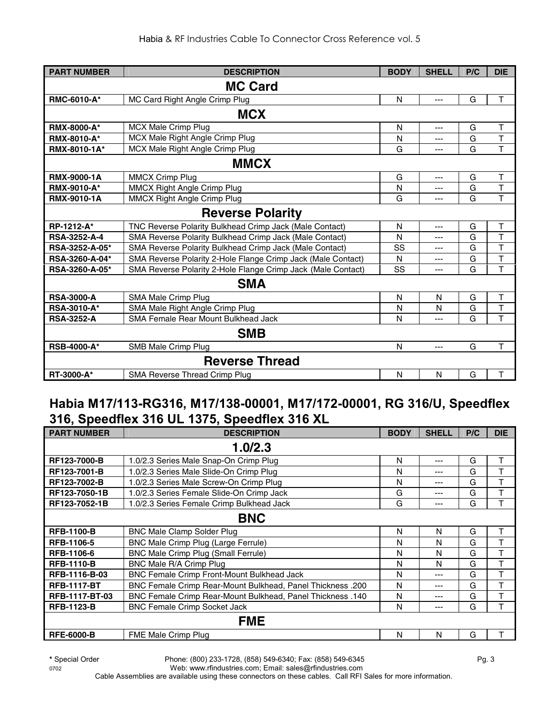| <b>PART NUMBER</b>  | <b>DESCRIPTION</b>                                           | <b>BODY</b> | <b>SHELL</b> | P/C | <b>DIE</b>              |
|---------------------|--------------------------------------------------------------|-------------|--------------|-----|-------------------------|
|                     | <b>MC Card</b>                                               |             |              |     |                         |
| RMC-6010-A*         | MC Card Right Angle Crimp Plug                               | N           | ---          | G   | T                       |
|                     | <b>MCX</b>                                                   |             |              |     |                         |
| <b>RMX-8000-A*</b>  | MCX Male Crimp Plug                                          | N           | ---          | G   | $\mathsf{T}$            |
| <b>RMX-8010-A*</b>  | MCX Male Right Angle Crimp Plug                              | N           | ---          | G   | T                       |
| RMX-8010-1A*        | MCX Male Right Angle Crimp Plug                              | G           | ---          | G   | T                       |
|                     | <b>MMCX</b>                                                  |             |              |     |                         |
| <b>RMX-9000-1A</b>  | <b>MMCX Crimp Plug</b>                                       | G           | ---          | G   | T                       |
| <b>RMX-9010-A*</b>  | MMCX Right Angle Crimp Plug                                  | N           | ---          | G   | T                       |
| <b>RMX-9010-1A</b>  | <b>MMCX Right Angle Crimp Plug</b>                           | G           | ---          | G   | T                       |
|                     | <b>Reverse Polarity</b>                                      |             |              |     |                         |
| RP-1212-A*          | TNC Reverse Polarity Bulkhead Crimp Jack (Male Contact)      | N           | ---          | G   | $\mathsf T$             |
| <b>RSA-3252-A-4</b> | SMA Reverse Polarity Bulkhead Crimp Jack (Male Contact)      | N           | ---          | G   | T                       |
| RSA-3252-A-05*      | SMA Reverse Polarity Bulkhead Crimp Jack (Male Contact)      | SS          | ---          | G   | $\overline{\mathsf{T}}$ |
| RSA-3260-A-04*      | SMA Reverse Polarity 2-Hole Flange Crimp Jack (Male Contact) | N           | ---          | G   | T                       |
| RSA-3260-A-05*      | SMA Reverse Polarity 2-Hole Flange Crimp Jack (Male Contact) | SS          | ---          | G   | T                       |
|                     | <b>SMA</b>                                                   |             |              |     |                         |
| <b>RSA-3000-A</b>   | SMA Male Crimp Plug                                          | N           | N            | G   | T                       |
| <b>RSA-3010-A*</b>  | SMA Male Right Angle Crimp Plug                              | N           | N            | G   | T                       |
| <b>RSA-3252-A</b>   | SMA Female Rear Mount Bulkhead Jack                          | N           | ---          | G   | T                       |
|                     | <b>SMB</b>                                                   |             |              |     |                         |
| <b>RSB-4000-A*</b>  | SMB Male Crimp Plug                                          | N           | ---          | G   | T                       |
|                     | <b>Reverse Thread</b>                                        |             |              |     |                         |
| RT-3000-A*          | SMA Reverse Thread Crimp Plug                                | N           | N            | G   | T                       |

#### **Habia M17/113-RG316, M17/138-00001, M17/172-00001, RG 316/U, Speedflex 316, Speedflex 316 UL 1375, Speedflex 316 XL**

| <b>PART NUMBER</b>  | <b>DESCRIPTION</b>                                                | <b>BODY</b> | <b>SHELL</b> | P/C | <b>DIE</b> |
|---------------------|-------------------------------------------------------------------|-------------|--------------|-----|------------|
|                     | 1.0/2.3                                                           |             |              |     |            |
| <b>RF123-7000-B</b> | 1.0/2.3 Series Male Snap-On Crimp Plug                            | N           | ---          | G   | т          |
| RF123-7001-B        | 1.0/2.3 Series Male Slide-On Crimp Plug                           | N           | ---          | G   |            |
| RF123-7002-B        | 1.0/2.3 Series Male Screw-On Crimp Plug                           | N           | ---          | G   | т          |
| RF123-7050-1B       | 1.0/2.3 Series Female Slide-On Crimp Jack                         | G           | ---          | G   |            |
| RF123-7052-1B       | 1.0/2.3 Series Female Crimp Bulkhead Jack                         | G           | ---          | G   | т          |
|                     | <b>BNC</b>                                                        |             |              |     |            |
| <b>RFB-1100-B</b>   | <b>BNC Male Clamp Solder Plug</b>                                 | N           | N            | G   | т          |
| RFB-1106-5          | BNC Male Crimp Plug (Large Ferrule)                               | N           | N            | G   |            |
| <b>RFB-1106-6</b>   | BNC Male Crimp Plug (Small Ferrule)                               | N           | N            | G   |            |
| <b>RFB-1110-B</b>   | BNC Male R/A Crimp Plug                                           | Ν           | N            | G   | T          |
| RFB-1116-B-03       | <b>BNC Female Crimp Front-Mount Bulkhead Jack</b>                 | N           | ---          | G   | т          |
| <b>RFB-1117-BT</b>  | <b>BNC Female Crimp Rear-Mount Bulkhead, Panel Thickness .200</b> | N           | ---          | G   | т          |
| RFB-1117-BT-03      | <b>BNC Female Crimp Rear-Mount Bulkhead, Panel Thickness .140</b> | N           | ---          | G   | т          |
| <b>RFB-1123-B</b>   | <b>BNC Female Crimp Socket Jack</b>                               | N           | ---          | G   | т          |
|                     | <b>FME</b>                                                        |             |              |     |            |
| <b>RFE-6000-B</b>   | FME Male Crimp Plug                                               | N           | N            | G   |            |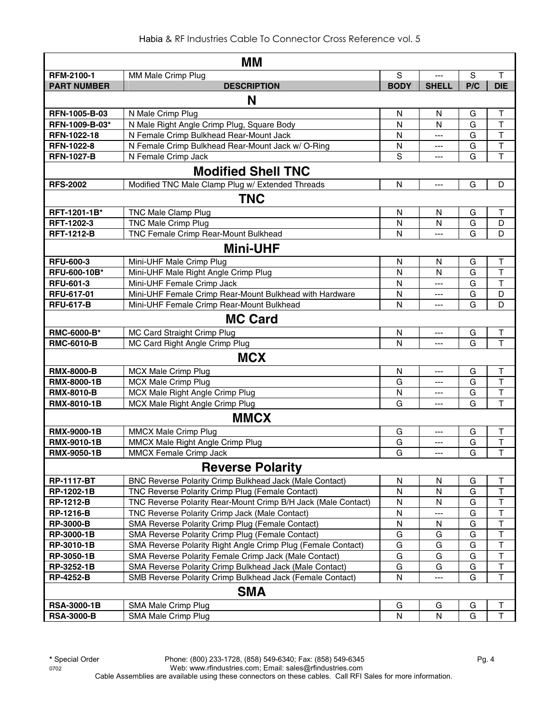| MМ                 |                                                               |             |                |     |                         |  |
|--------------------|---------------------------------------------------------------|-------------|----------------|-----|-------------------------|--|
| <b>RFM-2100-1</b>  | MM Male Crimp Plug                                            | S           | $---$          | S   | T                       |  |
| <b>PART NUMBER</b> | <b>DESCRIPTION</b>                                            | <b>BODY</b> | <b>SHELL</b>   | P/C | <b>DIE</b>              |  |
|                    | N                                                             |             |                |     |                         |  |
| RFN-1005-B-03      | N Male Crimp Plug                                             | N           | N              | G   | T                       |  |
| RFN-1009-B-03*     | N Male Right Angle Crimp Plug, Square Body                    | N           | N              | G   | $\top$                  |  |
| RFN-1022-18        | N Female Crimp Bulkhead Rear-Mount Jack                       | N           | $\overline{a}$ | G   | $\overline{\mathsf{T}}$ |  |
| <b>RFN-1022-8</b>  | N Female Crimp Bulkhead Rear-Mount Jack w/ O-Ring             | N           | $---$          | G   | $\overline{\mathsf{T}}$ |  |
| <b>RFN-1027-B</b>  | N Female Crimp Jack                                           | S           |                | G   | T                       |  |
|                    | <b>Modified Shell TNC</b>                                     |             |                |     |                         |  |
| <b>RFS-2002</b>    | Modified TNC Male Clamp Plug w/ Extended Threads              | N           | $\overline{a}$ | G   | D                       |  |
|                    | <b>TNC</b>                                                    |             |                |     |                         |  |
| RFT-1201-1B*       | TNC Male Clamp Plug                                           | N           | N              | G   | T                       |  |
| RFT-1202-3         | TNC Male Crimp Plug                                           | N           | N              | G   | D                       |  |
| <b>RFT-1212-B</b>  | TNC Female Crimp Rear-Mount Bulkhead                          | N           | $\overline{a}$ | G   | D                       |  |
|                    | <b>Mini-UHF</b>                                               |             |                |     |                         |  |
| <b>RFU-600-3</b>   | Mini-UHF Male Crimp Plug                                      | N           | N              | G   | T                       |  |
| RFU-600-10B*       | Mini-UHF Male Right Angle Crimp Plug                          | N           | $\mathsf{N}$   | G   | T                       |  |
| <b>RFU-601-3</b>   | Mini-UHF Female Crimp Jack                                    | N           | $\overline{a}$ | G   | T                       |  |
| RFU-617-01         | Mini-UHF Female Crimp Rear-Mount Bulkhead with Hardware       | N           | $\overline{a}$ | G   | D                       |  |
| <b>RFU-617-B</b>   | Mini-UHF Female Crimp Rear-Mount Bulkhead                     | N           |                | G   | D                       |  |
|                    | <b>MC Card</b>                                                |             |                |     |                         |  |
| RMC-6000-B*        | MC Card Straight Crimp Plug                                   | N           | $\overline{a}$ | G   | T                       |  |
| <b>RMC-6010-B</b>  | MC Card Right Angle Crimp Plug                                | N           |                | G   | $\overline{\mathsf{T}}$ |  |
|                    | <b>MCX</b>                                                    |             |                |     |                         |  |
| <b>RMX-8000-B</b>  | <b>MCX Male Crimp Plug</b>                                    | N           | ---            | G   | Т                       |  |
| <b>RMX-8000-1B</b> | <b>MCX Male Crimp Plug</b>                                    | G           | $---$          | G   | T                       |  |
| <b>RMX-8010-B</b>  | MCX Male Right Angle Crimp Plug                               | N           | ---            | G   | $\overline{\mathsf{T}}$ |  |
| RMX-8010-1B        | MCX Male Right Angle Crimp Plug                               | G           | $---$          | G   | T                       |  |
|                    | <b>MMCX</b>                                                   |             |                |     |                         |  |
| <b>RMX-9000-1B</b> | <b>MMCX Male Crimp Plug</b>                                   | G           | $\overline{a}$ | G   | T                       |  |
| <b>RMX-9010-1B</b> | MMCX Male Right Angle Crimp Plug                              | G           | $---$          | G   | $\overline{\mathsf{T}}$ |  |
| <b>RMX-9050-1B</b> | <b>MMCX Female Crimp Jack</b>                                 | G           | ---            | G   | T                       |  |
|                    | <b>Reverse Polarity</b>                                       |             |                |     |                         |  |
| <b>RP-1117-BT</b>  | BNC Reverse Polarity Crimp Bulkhead Jack (Male Contact)       | N           | N              | G   | T                       |  |
| RP-1202-1B         | TNC Reverse Polarity Crimp Plug (Female Contact)              | N           | N              | G   | $\overline{\mathsf{T}}$ |  |
| <b>RP-1212-B</b>   | TNC Reverse Polarity Rear-Mount Crimp B/H Jack (Male Contact) | N           | N              | G   | T                       |  |
| <b>RP-1216-B</b>   | TNC Reverse Polarity Crimp Jack (Male Contact)                | N           |                | G   | $\overline{\mathsf{T}}$ |  |
| <b>RP-3000-B</b>   | SMA Reverse Polarity Crimp Plug (Female Contact)              | N           | N              | G   | T                       |  |
| RP-3000-1B         | SMA Reverse Polarity Crimp Plug (Female Contact)              | G           | G              | G   | $\top$                  |  |
| RP-3010-1B         | SMA Reverse Polarity Right Angle Crimp Plug (Female Contact)  | G           | G              | G   | $\mathsf T$             |  |
| RP-3050-1B         | SMA Reverse Polarity Female Crimp Jack (Male Contact)         | G           | G              | G   | $\mathsf T$             |  |
| RP-3252-1B         | SMA Reverse Polarity Crimp Bulkhead Jack (Male Contact)       | G           | G              | G   | $\sf T$                 |  |
| <b>RP-4252-B</b>   | SMB Reverse Polarity Crimp Bulkhead Jack (Female Contact)     | N           | ---            | G   | $\mathsf T$             |  |
|                    | <b>SMA</b>                                                    |             |                |     |                         |  |
| <b>RSA-3000-1B</b> | SMA Male Crimp Plug                                           | G           | G              | G   | Τ                       |  |
| <b>RSA-3000-B</b>  | SMA Male Crimp Plug                                           | N           | N              | G   | $\top$                  |  |
|                    |                                                               |             |                |     |                         |  |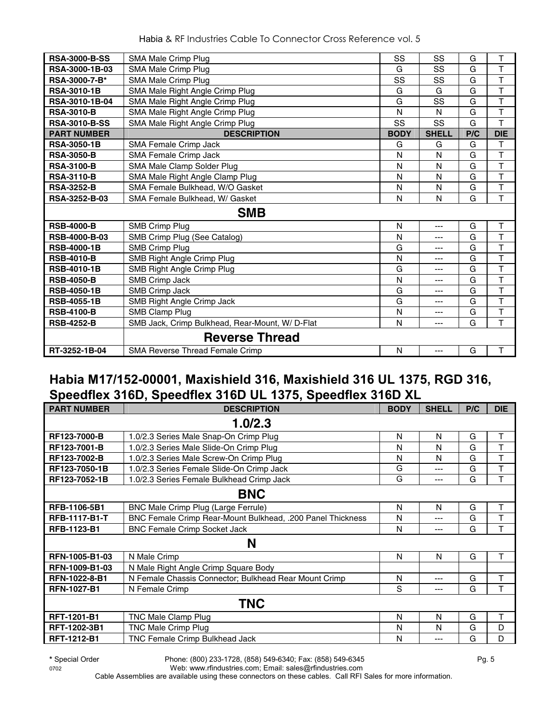| <b>RSA-3000-B-SS</b>  | SMA Male Crimp Plug                             | SS          | SS           | G   | T                       |
|-----------------------|-------------------------------------------------|-------------|--------------|-----|-------------------------|
| <b>RSA-3000-1B-03</b> | SMA Male Crimp Plug                             | G           | SS           | G   | $\overline{T}$          |
| RSA-3000-7-B*         | <b>SMA Male Crimp Plug</b>                      | SS          | SS           | G   | $\top$                  |
| <b>RSA-3010-1B</b>    | SMA Male Right Angle Crimp Plug                 | G           | G            | G   | $\mathsf{T}$            |
| RSA-3010-1B-04        | SMA Male Right Angle Crimp Plug                 | G           | SS           | G   | T                       |
| <b>RSA-3010-B</b>     | SMA Male Right Angle Crimp Plug                 | N           | N            | G   | $\overline{\mathsf{T}}$ |
| <b>RSA-3010-B-SS</b>  | SMA Male Right Angle Crimp Plug                 | SS          | SS           | G   | T                       |
| <b>PART NUMBER</b>    | <b>DESCRIPTION</b>                              | <b>BODY</b> | <b>SHELL</b> | P/C | <b>DIE</b>              |
| <b>RSA-3050-1B</b>    | SMA Female Crimp Jack                           | G           | G            | G   | T                       |
| <b>RSA-3050-B</b>     | SMA Female Crimp Jack                           | N           | N            | G   | T                       |
| <b>RSA-3100-B</b>     | SMA Male Clamp Solder Plug                      | N           | N            | G   | $\overline{T}$          |
| <b>RSA-3110-B</b>     | SMA Male Right Angle Clamp Plug                 | N           | N            | G   | T                       |
| <b>RSA-3252-B</b>     | SMA Female Bulkhead, W/O Gasket                 | N           | N            | G   | $\overline{\mathsf{T}}$ |
| RSA-3252-B-03         | SMA Female Bulkhead, W/ Gasket                  | N           | N            | G   | T                       |
|                       | <b>SMB</b>                                      |             |              |     |                         |
| <b>RSB-4000-B</b>     | <b>SMB Crimp Plug</b>                           | N           | $---$        | G   | T                       |
| <b>RSB-4000-B-03</b>  | SMB Crimp Plug (See Catalog)                    | N           | ---          | G   | T                       |
| <b>RSB-4000-1B</b>    | <b>SMB Crimp Plug</b>                           | G           | ---          | G   | T                       |
| <b>RSB-4010-B</b>     | SMB Right Angle Crimp Plug                      | N           | ---          | G   | T                       |
| <b>RSB-4010-1B</b>    | SMB Right Angle Crimp Plug                      | G           | ---          | G   | $\overline{\mathsf{T}}$ |
| <b>RSB-4050-B</b>     | SMB Crimp Jack                                  | N           | ---          | G   | $\overline{\mathsf{T}}$ |
| <b>RSB-4050-1B</b>    | <b>SMB Crimp Jack</b>                           | G           | ---          | G   | T                       |
| <b>RSB-4055-1B</b>    | SMB Right Angle Crimp Jack                      | G           | ---          | G   | T                       |
| <b>RSB-4100-B</b>     | SMB Clamp Plug                                  | N           | ---          | G   | $\overline{\mathsf{T}}$ |
| <b>RSB-4252-B</b>     | SMB Jack, Crimp Bulkhead, Rear-Mount, W/ D-Flat | N           | ---          | G   | T                       |
|                       | <b>Reverse Thread</b>                           |             |              |     |                         |
| RT-3252-1B-04         | <b>SMA Reverse Thread Female Crimp</b>          | N           | ---          | G   | T                       |

#### **Habia M17/152-00001, Maxishield 316, Maxishield 316 UL 1375, RGD 316, Speedflex 316D, Speedflex 316D UL 1375, Speedflex 316D XL**

| <b>PART NUMBER</b>   | <b>DESCRIPTION</b>                                         | <b>BODY</b> | <b>SHELL</b> | P/C | <b>DIE</b> |
|----------------------|------------------------------------------------------------|-------------|--------------|-----|------------|
|                      | 1.0/2.3                                                    |             |              |     |            |
| RF123-7000-B         | 1.0/2.3 Series Male Snap-On Crimp Plug                     | N           | N            | G   | Τ          |
| RF123-7001-B         | 1.0/2.3 Series Male Slide-On Crimp Plug                    | N           | N            | G   | T          |
| RF123-7002-B         | 1.0/2.3 Series Male Screw-On Crimp Plug                    | N           | N            | G   | T          |
| RF123-7050-1B        | 1.0/2.3 Series Female Slide-On Crimp Jack                  | G           | $---$        | G   | T          |
| RF123-7052-1B        | 1.0/2.3 Series Female Bulkhead Crimp Jack                  | G           | $---$        | G   | T          |
|                      | <b>BNC</b>                                                 |             |              |     |            |
| <b>RFB-1106-5B1</b>  | BNC Male Crimp Plug (Large Ferrule)                        | N           | N            | G   | т          |
| <b>RFB-1117-B1-T</b> | BNC Female Crimp Rear-Mount Bulkhead, .200 Panel Thickness | N           | ---          | G   | T          |
| <b>RFB-1123-B1</b>   | <b>BNC Female Crimp Socket Jack</b>                        | N           | $---$        | G   | T          |
|                      | N                                                          |             |              |     |            |
| RFN-1005-B1-03       | N Male Crimp                                               | N           | N            | G   | т          |
| RFN-1009-B1-03       | N Male Right Angle Crimp Square Body                       |             |              |     |            |
| RFN-1022-8-B1        | N Female Chassis Connector; Bulkhead Rear Mount Crimp      | N           | ---          | G   | т          |
| <b>RFN-1027-B1</b>   | N Female Crimp                                             | S           | ---          | G   | Т          |
|                      | <b>TNC</b>                                                 |             |              |     |            |
| <b>RFT-1201-B1</b>   | TNC Male Clamp Plug                                        | N           | N            | G   | т          |
| RFT-1202-3B1         | <b>TNC Male Crimp Plug</b>                                 | N           | N            | G   | D          |
| <b>RFT-1212-B1</b>   | <b>TNC Female Crimp Bulkhead Jack</b>                      | N           | $---$        | G   | D          |

**\*** Special Order Phone: (800) 233-1728, (858) 549-6340; Fax: (858) 549-6345 Pg. 5

0702 Web: www.rfindustries.com; Email: sales@rfindustries.com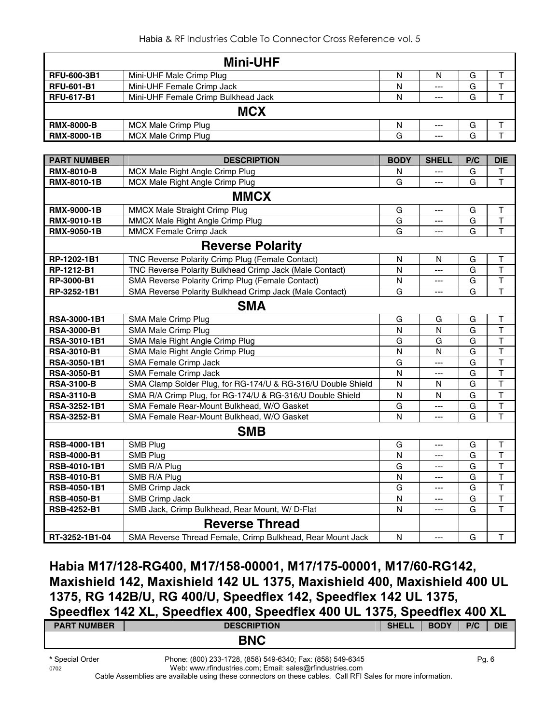|                    | <b>Mini-UHF</b>                                              |              |              |     |                         |
|--------------------|--------------------------------------------------------------|--------------|--------------|-----|-------------------------|
| RFU-600-3B1        | Mini-UHF Male Crimp Plug                                     | N            | N            | G   | $\sf T$                 |
| <b>RFU-601-B1</b>  | Mini-UHF Female Crimp Jack                                   | N            | ---          | G   | $\overline{\mathsf{T}}$ |
| <b>RFU-617-B1</b>  | Mini-UHF Female Crimp Bulkhead Jack                          | N            | ---          | G   | $\overline{\mathsf{T}}$ |
|                    | <b>MCX</b>                                                   |              |              |     |                         |
| <b>RMX-8000-B</b>  | <b>MCX Male Crimp Plug</b>                                   | ${\sf N}$    | ---          | G   | T                       |
| <b>RMX-8000-1B</b> | <b>MCX Male Crimp Plug</b>                                   | G            | ---          | G   | T                       |
|                    |                                                              |              |              |     |                         |
| <b>PART NUMBER</b> | <b>DESCRIPTION</b>                                           | <b>BODY</b>  | <b>SHELL</b> | P/C | <b>DIE</b>              |
| <b>RMX-8010-B</b>  | MCX Male Right Angle Crimp Plug                              | N            | ---          | G   | Τ                       |
| RMX-8010-1B        | MCX Male Right Angle Crimp Plug                              | G            | ---          | G   | T.                      |
|                    | <b>MMCX</b>                                                  |              |              |     |                         |
| RMX-9000-1B        | MMCX Male Straight Crimp Plug                                | G            | $---$        | G   | $\top$                  |
| RMX-9010-1B        | MMCX Male Right Angle Crimp Plug                             | G            | ---          | G   | $\top$                  |
| <b>RMX-9050-1B</b> | MMCX Female Crimp Jack                                       | G            | $---$        | G   | T                       |
|                    | <b>Reverse Polarity</b>                                      |              |              |     |                         |
| RP-1202-1B1        | TNC Reverse Polarity Crimp Plug (Female Contact)             | N            | N            | G   | Τ                       |
| RP-1212-B1         | TNC Reverse Polarity Bulkhead Crimp Jack (Male Contact)      | $\mathsf{N}$ | $---$        | G   | T                       |
| RP-3000-B1         | SMA Reverse Polarity Crimp Plug (Female Contact)             | N            | ---          | G   | T                       |
| RP-3252-1B1        | SMA Reverse Polarity Bulkhead Crimp Jack (Male Contact)      | G            | ---          | G   | T                       |
|                    | <b>SMA</b>                                                   |              |              |     |                         |
| RSA-3000-1B1       | SMA Male Crimp Plug                                          | G            | G            | G   | Т                       |
| <b>RSA-3000-B1</b> | SMA Male Crimp Plug                                          | ${\sf N}$    | $\mathsf{N}$ | G   | $\mathsf T$             |
| RSA-3010-1B1       | SMA Male Right Angle Crimp Plug                              | G            | G            | G   | $\top$                  |
| RSA-3010-B1        | SMA Male Right Angle Crimp Plug                              | N            | N            | G   | $\sf T$                 |
| RSA-3050-1B1       | SMA Female Crimp Jack                                        | G            | ---          | G   | $\overline{\mathsf{T}}$ |
| <b>RSA-3050-B1</b> | SMA Female Crimp Jack                                        | $\mathsf{N}$ | ---          | G   | $\overline{\mathsf{T}}$ |
| <b>RSA-3100-B</b>  | SMA Clamp Solder Plug, for RG-174/U & RG-316/U Double Shield | N            | N            | G   | $\overline{\mathsf{T}}$ |
| <b>RSA-3110-B</b>  | SMA R/A Crimp Plug, for RG-174/U & RG-316/U Double Shield    | N            | N            | G   | $\overline{\mathsf{T}}$ |
| RSA-3252-1B1       | SMA Female Rear-Mount Bulkhead, W/O Gasket                   | G            | ---          | G   | T                       |
| RSA-3252-B1        | SMA Female Rear-Mount Bulkhead, W/O Gasket                   | N            | ---          | G   | T                       |
|                    | <b>SMB</b>                                                   |              |              |     |                         |
| RSB-4000-1B1       | SMB Plug                                                     | G            | ---          | G   | Т                       |
| <b>RSB-4000-B1</b> | <b>SMB Plug</b>                                              | ${\sf N}$    | ---          | G   | $\top$                  |
| RSB-4010-1B1       | SMB R/A Plug                                                 | G            | ---          | G   | Т                       |
| <b>RSB-4010-B1</b> | SMB R/A Plug                                                 | N            | ---          | G   | Τ                       |
| RSB-4050-1B1       | SMB Crimp Jack                                               | G            | ---          | G   | Т                       |
| <b>RSB-4050-B1</b> | SMB Crimp Jack                                               | Ν            | ---          | G   | Т                       |
| RSB-4252-B1        | SMB Jack, Crimp Bulkhead, Rear Mount, W/ D-Flat              | N            | ---          | G   | T                       |
|                    | <b>Reverse Thread</b>                                        |              |              |     |                         |
| RT-3252-1B1-04     | SMA Reverse Thread Female, Crimp Bulkhead, Rear Mount Jack   | ${\sf N}$    | ---          | G   | т                       |

**Habia M17/128-RG400, M17/158-00001, M17/175-00001, M17/60-RG142, Maxishield 142, Maxishield 142 UL 1375, Maxishield 400, Maxishield 400 UL 1375, RG 142B/U, RG 400/U, Speedflex 142, Speedflex 142 UL 1375, Speedflex 142 XL, Speedflex 400, Speedflex 400 UL 1375, Speedflex 400 XL** 

| <b>PART NUMBER</b>      | <b>DESCRIPTION</b>                                                                                                   | <b>SHELL</b> | <b>BODY</b> | P/C   | <b>DIE</b> |
|-------------------------|----------------------------------------------------------------------------------------------------------------------|--------------|-------------|-------|------------|
|                         | <b>BNC</b>                                                                                                           |              |             |       |            |
| * Special Order<br>0700 | Phone: (800) 233-1728, (858) 549-6340; Fax: (858) 549-6345<br>$M_{\odot}$ will represent the property of $M_{\odot}$ |              |             | Pq. 6 |            |

0702 Web: www.rfindustries.com; Email: sales@rfindustries.com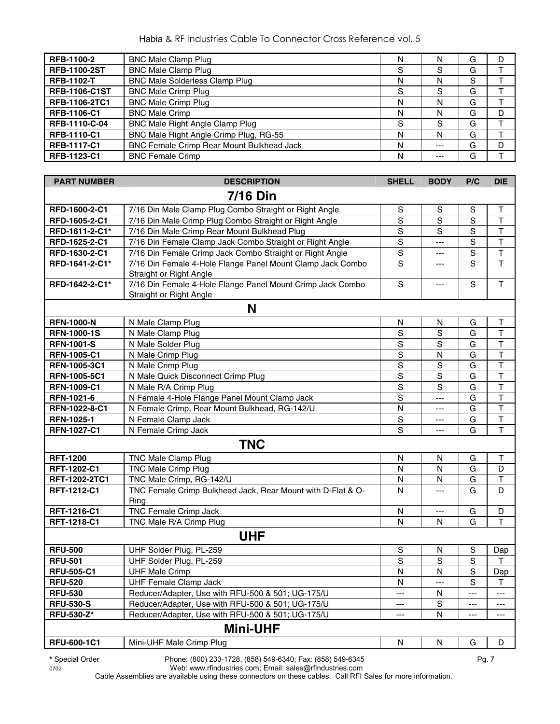| RFB-1100-2           | <b>BNC Male Clamp Plug</b>                       | Ν |     | G | D |
|----------------------|--------------------------------------------------|---|-----|---|---|
| <b>RFB-1100-2ST</b>  | <b>BNC Male Clamp Plug</b>                       | S | S   | G |   |
| <b>RFB-1102-T</b>    | <b>BNC Male Solderless Clamp Plug</b>            | N | N   | S |   |
| <b>RFB-1106-C1ST</b> | <b>BNC Male Crimp Plug</b>                       | S | S   | G |   |
| <b>RFB-1106-2TC1</b> | <b>BNC Male Crimp Plug</b>                       | N | N   | G |   |
| RFB-1106-C1          | <b>BNC Male Crimp</b>                            | N | N   | G | D |
| RFB-1110-C-04        | BNC Male Right Angle Clamp Plug                  | S | S   | G |   |
| <b>RFB-1110-C1</b>   | BNC Male Right Angle Crimp Plug, RG-55           | N | N   | G |   |
| <b>RFB-1117-C1</b>   | <b>BNC Female Crimp Rear Mount Bulkhead Jack</b> | N | --- | G | D |
| RFB-1123-C1          | <b>BNC Female Crimp</b>                          | N |     | G |   |

| <b>PART NUMBER</b> | <b>DESCRIPTION</b>                                                                    | <b>SHELL</b>   | <b>BODY</b>             | P/C                     | <b>DIE</b>              |
|--------------------|---------------------------------------------------------------------------------------|----------------|-------------------------|-------------------------|-------------------------|
|                    | <b>7/16 Din</b>                                                                       |                |                         |                         |                         |
| RFD-1600-2-C1      | 7/16 Din Male Clamp Plug Combo Straight or Right Angle                                | $\mathbb S$    | $\mathbb S$             | $\mathbf S$             | $\mathsf T$             |
| RFD-1605-2-C1      | 7/16 Din Male Crimp Plug Combo Straight or Right Angle                                | ${\mathsf S}$  | S                       | $\mathbb S$             | $\top$                  |
| RFD-1611-2-C1*     | 7/16 Din Male Crimp Rear Mount Bulkhead Plug                                          | $\mathbb S$    | S                       | $\mathbf S$             | $\mathsf T$             |
| RFD-1625-2-C1      | 7/16 Din Female Clamp Jack Combo Straight or Right Angle                              | $\mathbf S$    | ---                     | $\mathbf S$             | $\mathsf T$             |
| RFD-1630-2-C1      | 7/16 Din Female Crimp Jack Combo Straight or Right Angle                              | $\mathbf S$    | ---                     | $\mathbf S$             | $\mathsf T$             |
| RFD-1641-2-C1*     | 7/16 Din Female 4-Hole Flange Panel Mount Clamp Jack Combo<br>Straight or Right Angle | S              | ---                     | $\overline{s}$          | $\mathsf{T}$            |
| RFD-1642-2-C1*     | 7/16 Din Female 4-Hole Flange Panel Mount Crimp Jack Combo<br>Straight or Right Angle | $\mathbf S$    | ---                     | $\mathbf S$             | $\mathsf T$             |
|                    | N                                                                                     |                |                         |                         |                         |
| <b>RFN-1000-N</b>  | N Male Clamp Plug                                                                     | ${\sf N}$      | $\mathsf{N}$            | G                       | $\sf T$                 |
| <b>RFN-1000-1S</b> | N Male Clamp Plug                                                                     | $\overline{s}$ | $\overline{s}$          | G                       | $\overline{\mathsf{T}}$ |
| <b>RFN-1001-S</b>  | N Male Solder Plug                                                                    | $\overline{s}$ | $\overline{s}$          | $\overline{\mathsf{G}}$ | $\overline{\mathsf{T}}$ |
| <b>RFN-1005-C1</b> | N Male Crimp Plug                                                                     | $\mathsf S$    | $\overline{\mathsf{N}}$ | G                       | $\mathsf T$             |
| RFN-1005-3C1       | N Male Crimp Plug                                                                     | $\overline{s}$ | $\overline{s}$          | G                       | $\overline{\mathsf{T}}$ |
| RFN-1005-5C1       | N Male Quick Disconnect Crimp Plug                                                    | $\overline{s}$ | $\overline{s}$          | G                       | $\overline{\mathsf{T}}$ |
| <b>RFN-1009-C1</b> | N Male R/A Crimp Plug                                                                 | $\mathsf S$    | S                       | G                       | $\overline{\mathsf{T}}$ |
| RFN-1021-6         | N Female 4-Hole Flange Panel Mount Clamp Jack                                         | $\overline{s}$ | ---                     | G                       | $\overline{\mathsf{T}}$ |
| RFN-1022-8-C1      | N Female Crimp, Rear Mount Bulkhead, RG-142/U                                         | N              | $---$                   | G                       | $\overline{\mathsf{T}}$ |
| RFN-1025-1         | N Female Clamp Jack                                                                   | $\mathsf S$    | ---                     | G                       | T                       |
| <b>RFN-1027-C1</b> | N Female Crimp Jack                                                                   | S              | ---                     | G                       | $\overline{\mathsf{T}}$ |
|                    | <b>TNC</b>                                                                            |                |                         |                         |                         |
| <b>RFT-1200</b>    | TNC Male Clamp Plug                                                                   | N              | N                       | G                       | $\top$                  |
| RFT-1202-C1        | <b>TNC Male Crimp Plug</b>                                                            | $\mathsf{N}$   | N                       | G                       | D                       |
| RFT-1202-2TC1      | TNC Male Crimp, RG-142/U                                                              | N              | $\mathsf{N}$            | G                       | $\mathsf T$             |
| RFT-1212-C1        | TNC Female Crimp Bulkhead Jack, Rear Mount with D-Flat & O-<br>Ring                   | $\mathsf{N}$   | ---                     | G                       | D                       |
| RFT-1216-C1        | TNC Female Crimp Jack                                                                 | N              | $\scriptstyle\cdots$    | G                       | D                       |
| RFT-1218-C1        | TNC Male R/A Crimp Plug                                                               | N              | N                       | G                       | T                       |
|                    | <b>UHF</b>                                                                            |                |                         |                         |                         |
| <b>RFU-500</b>     | UHF Solder Plug, PL-259                                                               | $\mathsf S$    | N                       | S                       | Dap                     |
| <b>RFU-501</b>     | UHF Solder Plug, PL-259                                                               | S              | S                       | S                       | T.                      |
| <b>RFU-505-C1</b>  | <b>UHF Male Crimp</b>                                                                 | N              | N                       | $\mathbf S$             | Dap                     |
| <b>RFU-520</b>     | UHF Female Clamp Jack                                                                 | N              | ---                     | S                       | T.                      |
| <b>RFU-530</b>     | Reducer/Adapter, Use with RFU-500 & 501; UG-175/U                                     | ---            | N                       | ---                     | $---$                   |
| <b>RFU-530-S</b>   | Reducer/Adapter, Use with RFU-500 & 501; UG-175/U                                     | ---            | S                       | ---                     | ---                     |
| <b>RFU-530-Z*</b>  | Reducer/Adapter, Use with RFU-500 & 501; UG-175/U                                     | ---            | N                       | ---                     | ---                     |
|                    | <b>Mini-UHF</b>                                                                       |                |                         |                         |                         |
| RFU-600-1C1        | Mini-UHF Male Crimp Plug                                                              | ${\sf N}$      | N                       | G                       | D                       |

**\*** Special Order Phone: (800) 233-1728, (858) 549-6340; Fax: (858) 549-6345 Pg. 7

0702 Web: www.rfindustries.com; Email: sales@rfindustries.com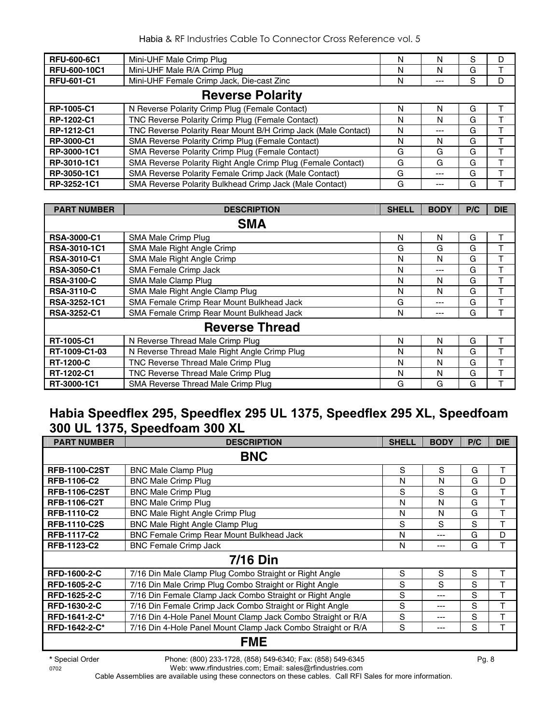| <b>RFU-600-6C1</b>      | Mini-UHF Male Crimp Plug                                      | N | N   | S | D |  |  |
|-------------------------|---------------------------------------------------------------|---|-----|---|---|--|--|
| <b>RFU-600-10C1</b>     | Mini-UHF Male R/A Crimp Plug                                  | N | N   | G |   |  |  |
| <b>RFU-601-C1</b>       | Mini-UHF Female Crimp Jack, Die-cast Zinc                     | Ν |     | S | D |  |  |
| <b>Reverse Polarity</b> |                                                               |   |     |   |   |  |  |
| RP-1005-C1              | N Reverse Polarity Crimp Plug (Female Contact)                | N | N   | G |   |  |  |
| RP-1202-C1              | TNC Reverse Polarity Crimp Plug (Female Contact)              | N | N   | G |   |  |  |
| RP-1212-C1              | TNC Reverse Polarity Rear Mount B/H Crimp Jack (Male Contact) | N | --- | G |   |  |  |
| RP-3000-C1              | SMA Reverse Polarity Crimp Plug (Female Contact)              | N | N   | G |   |  |  |
| RP-3000-1C1             | SMA Reverse Polarity Crimp Plug (Female Contact)              | G | G   | G |   |  |  |
| RP-3010-1C1             | SMA Reverse Polarity Right Angle Crimp Plug (Female Contact)  | G | G   | G |   |  |  |
| RP-3050-1C1             | SMA Reverse Polarity Female Crimp Jack (Male Contact)         | G | --- | G |   |  |  |
| RP-3252-1C1             | SMA Reverse Polarity Bulkhead Crimp Jack (Male Contact)       | G |     | G |   |  |  |

| <b>PART NUMBER</b>  | <b>DESCRIPTION</b>                           | <b>SHELL</b> | <b>BODY</b> | P/C | <b>DIE</b> |
|---------------------|----------------------------------------------|--------------|-------------|-----|------------|
|                     | <b>SMA</b>                                   |              |             |     |            |
| <b>RSA-3000-C1</b>  | SMA Male Crimp Plug                          | N            | N           | G   |            |
| <b>RSA-3010-1C1</b> | SMA Male Right Angle Crimp                   | G            | G           | G   |            |
| <b>RSA-3010-C1</b>  | SMA Male Right Angle Crimp                   | N            | N           | G   |            |
| <b>RSA-3050-C1</b>  | SMA Female Crimp Jack                        | N            | ---         | G   | Т          |
| <b>RSA-3100-C</b>   | SMA Male Clamp Plug                          | N            | N           | G   | т          |
| <b>RSA-3110-C</b>   | SMA Male Right Angle Clamp Plug              | N            | N           | G   | т          |
| RSA-3252-1C1        | SMA Female Crimp Rear Mount Bulkhead Jack    | G            | ---         | G   |            |
| <b>RSA-3252-C1</b>  | SMA Female Crimp Rear Mount Bulkhead Jack    | N            | ---         | G   |            |
|                     | <b>Reverse Thread</b>                        |              |             |     |            |
| RT-1005-C1          | N Reverse Thread Male Crimp Plug             | N            | N           | G   | т          |
| RT-1009-C1-03       | N Reverse Thread Male Right Angle Crimp Plug | N            | N           | G   | т          |
| <b>RT-1200-C</b>    | TNC Reverse Thread Male Crimp Plug           | N            | N           | G   | т          |
| RT-1202-C1          | TNC Reverse Thread Male Crimp Plug           | N            | N           | G   | т          |
| RT-3000-1C1         | SMA Reverse Thread Male Crimp Plug           | G            | G           | G   |            |

#### **Habia Speedflex 295, Speedflex 295 UL 1375, Speedflex 295 XL, Speedfoam 300 UL 1375, Speedfoam 300 XL**

| <b>PART NUMBER</b>   | <b>DESCRIPTION</b>                                           | <b>SHELL</b> | <b>BODY</b> | P/C | <b>DIE</b> |
|----------------------|--------------------------------------------------------------|--------------|-------------|-----|------------|
|                      | <b>BNC</b>                                                   |              |             |     |            |
| <b>RFB-1100-C2ST</b> | <b>BNC Male Clamp Plug</b>                                   | S            | S           | G   | т          |
| <b>RFB-1106-C2</b>   | <b>BNC Male Crimp Plug</b>                                   | N            | N           | G   | D          |
| <b>RFB-1106-C2ST</b> | <b>BNC Male Crimp Plug</b>                                   | S            | S           | G   | т          |
| <b>RFB-1106-C2T</b>  | <b>BNC Male Crimp Plug</b>                                   | N            | N           | G   | Т          |
| <b>RFB-1110-C2</b>   | <b>BNC Male Right Angle Crimp Plug</b>                       | N            | N           | G   | Т          |
| <b>RFB-1110-C2S</b>  | BNC Male Right Angle Clamp Plug                              | S            | S           | S   | т          |
| <b>RFB-1117-C2</b>   | BNC Female Crimp Rear Mount Bulkhead Jack                    | N            | ---         | G   | D          |
| RFB-1123-C2          | <b>BNC Female Crimp Jack</b>                                 | N            | ---         | G   | т          |
|                      | <b>7/16 Din</b>                                              |              |             |     |            |
| <b>RFD-1600-2-C</b>  | 7/16 Din Male Clamp Plug Combo Straight or Right Angle       | S            | S           | S   | т          |
| <b>RFD-1605-2-C</b>  | 7/16 Din Male Crimp Plug Combo Straight or Right Angle       | S            | S           | S   | т          |
| <b>RFD-1625-2-C</b>  | 7/16 Din Female Clamp Jack Combo Straight or Right Angle     | S            | ---         | S   | T          |
| RFD-1630-2-C         | 7/16 Din Female Crimp Jack Combo Straight or Right Angle     | S            | ---         | S   | Т          |
| RFD-1641-2-C*        | 7/16 Din 4-Hole Panel Mount Clamp Jack Combo Straight or R/A | S            | ---         | S   |            |
| RFD-1642-2-C*        | 7/16 Din 4-Hole Panel Mount Clamp Jack Combo Straight or R/A | S            | ---         | S   | т          |
|                      | <b>FME</b>                                                   |              |             |     |            |

**\*** Special Order Phone: (800) 233-1728, (858) 549-6340; Fax: (858) 549-6345 Pg. 8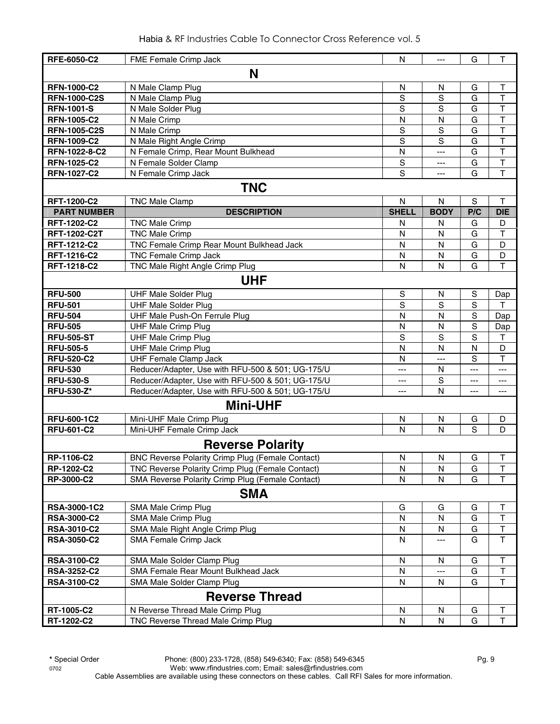|  | Habia & RF Industries Cable To Connector Cross Reference vol. 5 |  |  |
|--|-----------------------------------------------------------------|--|--|
|  |                                                                 |  |  |

| RFE-6050-C2         | FME Female Crimp Jack                                   | N              | ---          | G   | Τ                       |
|---------------------|---------------------------------------------------------|----------------|--------------|-----|-------------------------|
|                     | N                                                       |                |              |     |                         |
| <b>RFN-1000-C2</b>  | N Male Clamp Plug                                       | N              | N            | G   | T                       |
| <b>RFN-1000-C2S</b> | N Male Clamp Plug                                       | S              | $\mathbf S$  | G   | T                       |
| <b>RFN-1001-S</b>   | N Male Solder Plug                                      | S              | S            | G   | T                       |
| <b>RFN-1005-C2</b>  | N Male Crimp                                            | N              | N            | G   | T                       |
| <b>RFN-1005-C2S</b> | N Male Crimp                                            | $\mathsf S$    | S            | G   | T                       |
| <b>RFN-1009-C2</b>  | N Male Right Angle Crimp                                | S              | S            | G   | $\overline{\mathsf{T}}$ |
| RFN-1022-8-C2       | N Female Crimp, Rear Mount Bulkhead                     | N              | ---          | G   | T                       |
| <b>RFN-1025-C2</b>  | N Female Solder Clamp                                   | S              | ---          | G   | $\overline{\mathsf{T}}$ |
| <b>RFN-1027-C2</b>  | N Female Crimp Jack                                     | S              | $---$        | G   | $\overline{T}$          |
|                     | <b>TNC</b>                                              |                |              |     |                         |
| <b>RFT-1200-C2</b>  | <b>TNC Male Clamp</b>                                   | N              | N            | S   | Т                       |
| <b>PART NUMBER</b>  | <b>DESCRIPTION</b>                                      | <b>SHELL</b>   | <b>BODY</b>  | P/C | <b>DIE</b>              |
| <b>RFT-1202-C2</b>  | <b>TNC Male Crimp</b>                                   | N              | N            | G   | D                       |
| <b>RFT-1202-C2T</b> | <b>TNC Male Crimp</b>                                   | N              | N            | G   | T                       |
| <b>RFT-1212-C2</b>  | TNC Female Crimp Rear Mount Bulkhead Jack               | N              | N            | G   | D                       |
| RFT-1216-C2         | <b>TNC Female Crimp Jack</b>                            | N              | N            | G   | D                       |
| RFT-1218-C2         | TNC Male Right Angle Crimp Plug                         | N              | N            | G   | T                       |
|                     | <b>UHF</b>                                              |                |              |     |                         |
|                     |                                                         |                |              |     |                         |
| <b>RFU-500</b>      | <b>UHF Male Solder Plug</b>                             | $\mathsf S$    | N            | S   | Dap                     |
| <b>RFU-501</b>      | <b>UHF Male Solder Plug</b>                             | S              | S            | S   | т                       |
| <b>RFU-504</b>      | UHF Male Push-On Ferrule Plug                           | N              | N            | S   | Dap                     |
| <b>RFU-505</b>      | <b>UHF Male Crimp Plug</b>                              | N              | N            | S   | Dap                     |
| <b>RFU-505-ST</b>   | <b>UHF Male Crimp Plug</b>                              | S              | S            | S   | Τ                       |
| <b>RFU-505-5</b>    | <b>UHF Male Crimp Plug</b>                              | N              | $\mathsf{N}$ | N   | D                       |
| <b>RFU-520-C2</b>   | <b>UHF Female Clamp Jack</b>                            | N              | ---          | S   | T                       |
| <b>RFU-530</b>      | Reducer/Adapter, Use with RFU-500 & 501; UG-175/U       | $\overline{a}$ | $\mathsf{N}$ | --- | $\overline{a}$          |
| <b>RFU-530-S</b>    | Reducer/Adapter, Use with RFU-500 & 501; UG-175/U       | ---            | S            | --- | $---$                   |
| <b>RFU-530-Z*</b>   | Reducer/Adapter, Use with RFU-500 & 501; UG-175/U       | ---            | $\mathsf{N}$ |     | ---                     |
|                     | <b>Mini-UHF</b>                                         |                |              |     |                         |
| <b>RFU-600-1C2</b>  | Mini-UHF Male Crimp Plug                                | N              | N            | G   | D                       |
| <b>RFU-601-C2</b>   | Mini-UHF Female Crimp Jack                              | N              | N            | S   | D                       |
|                     | <b>Reverse Polarity</b>                                 |                |              |     |                         |
| RP-1106-C2          | <b>BNC Reverse Polarity Crimp Plug (Female Contact)</b> | N              | N            | G   | $\mathsf T$             |
| RP-1202-C2          | TNC Reverse Polarity Crimp Plug (Female Contact)        | N              | N            | G   | $\top$                  |
| <b>RP-3000-C2</b>   | SMA Reverse Polarity Crimp Plug (Female Contact)        | N              | $\mathsf{N}$ | G   | T                       |
|                     | <b>SMA</b>                                              |                |              |     |                         |
| RSA-3000-1C2        | SMA Male Crimp Plug                                     | G              | G            | G   | Τ                       |
| <b>RSA-3000-C2</b>  | SMA Male Crimp Plug                                     | N              | N            | G   | Τ                       |
| <b>RSA-3010-C2</b>  | SMA Male Right Angle Crimp Plug                         | N              | N            | G   | T                       |
| <b>RSA-3050-C2</b>  | SMA Female Crimp Jack                                   | N              |              | G   | T                       |
|                     |                                                         |                |              |     |                         |
| RSA-3100-C2         | SMA Male Solder Clamp Plug                              | N              | N            | G   | Τ                       |
| <b>RSA-3252-C2</b>  | SMA Female Rear Mount Bulkhead Jack                     | N              |              | G   | T                       |
| <b>RSA-3100-C2</b>  | SMA Male Solder Clamp Plug                              | N              | N            | G   | $\mathsf T$             |
|                     | <b>Reverse Thread</b>                                   |                |              |     |                         |
| RT-1005-C2          | N Reverse Thread Male Crimp Plug                        | N              | N            | G   | Τ                       |
| RT-1202-C2          | TNC Reverse Thread Male Crimp Plug                      | $\mathsf{N}$   | N            | G   | $\top$                  |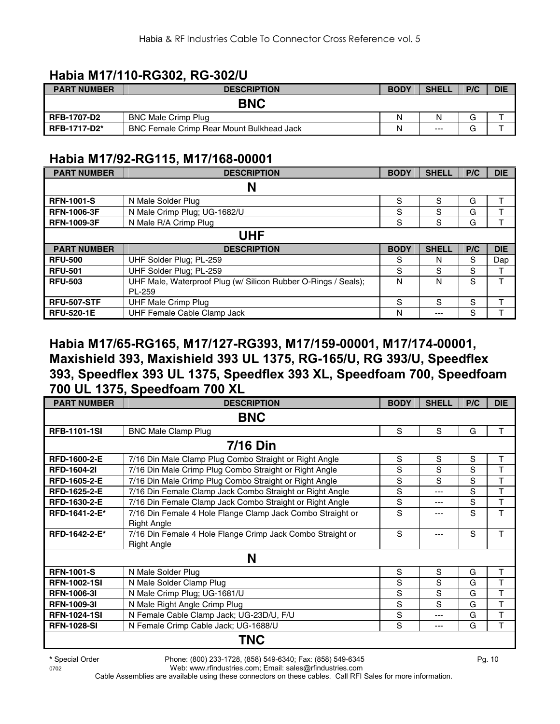#### **Habia M17/110-RG302, RG-302/U**

| <b>PART NUMBER</b>  | <b>DESCRIPTION</b>                               | <b>BODY</b> | <b>SHELL</b> | P/C | <b>DIE</b> |
|---------------------|--------------------------------------------------|-------------|--------------|-----|------------|
|                     | <b>BNC</b>                                       |             |              |     |            |
| <b>RFB-1707-D2</b>  | <b>BNC Male Crimp Plug</b>                       | N           | N            |     |            |
| <b>RFB-1717-D2*</b> | <b>BNC Female Crimp Rear Mount Bulkhead Jack</b> | N           | $---$        | ⌒   |            |

#### **Habia M17/92-RG115, M17/168-00001**

| <b>PART NUMBER</b> | <b>DESCRIPTION</b>                                             | <b>BODY</b> | <b>SHELL</b> | P/C | <b>DIE</b> |  |  |  |  |  |
|--------------------|----------------------------------------------------------------|-------------|--------------|-----|------------|--|--|--|--|--|
|                    | N                                                              |             |              |     |            |  |  |  |  |  |
| <b>RFN-1001-S</b>  | N Male Solder Plug                                             | S           | S            | G   |            |  |  |  |  |  |
| <b>RFN-1006-3F</b> | N Male Crimp Plug; UG-1682/U                                   | S           | S            | G   |            |  |  |  |  |  |
| <b>RFN-1009-3F</b> | N Male R/A Crimp Plug                                          | S           | S            | G   |            |  |  |  |  |  |
|                    | <b>UHF</b>                                                     |             |              |     |            |  |  |  |  |  |
| <b>PART NUMBER</b> | <b>DESCRIPTION</b>                                             | <b>BODY</b> | <b>SHELL</b> | P/C | <b>DIE</b> |  |  |  |  |  |
| <b>RFU-500</b>     | UHF Solder Plug; PL-259                                        | S           | N            | S   | Dap        |  |  |  |  |  |
| <b>RFU-501</b>     | UHF Solder Plug; PL-259                                        | S           | S            | S   |            |  |  |  |  |  |
| <b>RFU-503</b>     | UHF Male, Waterproof Plug (w/ Silicon Rubber O-Rings / Seals); | N           | N            | S   |            |  |  |  |  |  |
|                    | PL-259                                                         |             |              |     |            |  |  |  |  |  |
| <b>RFU-507-STF</b> | UHF Male Crimp Plug                                            | S           | S            | S   |            |  |  |  |  |  |
| <b>RFU-520-1E</b>  | UHF Female Cable Clamp Jack                                    | N           | ---          | S   |            |  |  |  |  |  |

#### **Habia M17/65-RG165, M17/127-RG393, M17/159-00001, M17/174-00001, Maxishield 393, Maxishield 393 UL 1375, RG-165/U, RG 393/U, Speedflex 393, Speedflex 393 UL 1375, Speedflex 393 XL, Speedfoam 700, Speedfoam 700 UL 1375, Speedfoam 700 XL**

| <b>PART NUMBER</b>  | <b>DESCRIPTION</b>                                         | <b>BODY</b> | <b>SHELL</b> | P/C         | <b>DIE</b> |  |  |  |  |  |
|---------------------|------------------------------------------------------------|-------------|--------------|-------------|------------|--|--|--|--|--|
| <b>BNC</b>          |                                                            |             |              |             |            |  |  |  |  |  |
| <b>RFB-1101-1SI</b> | <b>BNC Male Clamp Plug</b>                                 | S           | S            | G           | т          |  |  |  |  |  |
|                     | <b>7/16 Din</b>                                            |             |              |             |            |  |  |  |  |  |
| RFD-1600-2-E        | 7/16 Din Male Clamp Plug Combo Straight or Right Angle     | S           | S            | S           | Τ          |  |  |  |  |  |
| <b>RFD-1604-21</b>  | 7/16 Din Male Crimp Plug Combo Straight or Right Angle     | S           | S            | S           | T          |  |  |  |  |  |
| <b>RFD-1605-2-E</b> | 7/16 Din Male Crimp Plug Combo Straight or Right Angle     | S           | S            | S           | т          |  |  |  |  |  |
| <b>RFD-1625-2-E</b> | 7/16 Din Female Clamp Jack Combo Straight or Right Angle   | S           | ---          | S           | т          |  |  |  |  |  |
| RFD-1630-2-E        | 7/16 Din Female Clamp Jack Combo Straight or Right Angle   | S           | ---          | S           | Τ          |  |  |  |  |  |
| RFD-1641-2-E*       | 7/16 Din Female 4 Hole Flange Clamp Jack Combo Straight or | S           |              | S           | T          |  |  |  |  |  |
|                     | <b>Right Angle</b>                                         |             |              |             |            |  |  |  |  |  |
| RFD-1642-2-E*       | 7/16 Din Female 4 Hole Flange Crimp Jack Combo Straight or | S           | ---          | $\mathbf S$ | T          |  |  |  |  |  |
|                     | <b>Right Angle</b>                                         |             |              |             |            |  |  |  |  |  |
|                     | N                                                          |             |              |             |            |  |  |  |  |  |
| <b>RFN-1001-S</b>   | N Male Solder Plug                                         | S           | S            | G           | Τ          |  |  |  |  |  |
| <b>RFN-1002-1SI</b> | N Male Solder Clamp Plug                                   | S           | S            | G           | Τ          |  |  |  |  |  |
| <b>RFN-1006-31</b>  | N Male Crimp Plug; UG-1681/U                               | S           | S            | G           | т          |  |  |  |  |  |
| <b>RFN-1009-31</b>  | N Male Right Angle Crimp Plug                              | S           | S            | G           | T          |  |  |  |  |  |
| <b>RFN-1024-1SI</b> | N Female Cable Clamp Jack; UG-23D/U, F/U                   | S           | ---          | G           | T          |  |  |  |  |  |
| <b>RFN-1028-SI</b>  | N Female Crimp Cable Jack; UG-1688/U                       | S           | ---          | G           | T          |  |  |  |  |  |
|                     | TNC                                                        |             |              |             |            |  |  |  |  |  |

0702 Web: www.rfindustries.com; Email: sales@rfindustries.com Cable Assemblies are available using these connectors on these cables. Call RFI Sales for more information.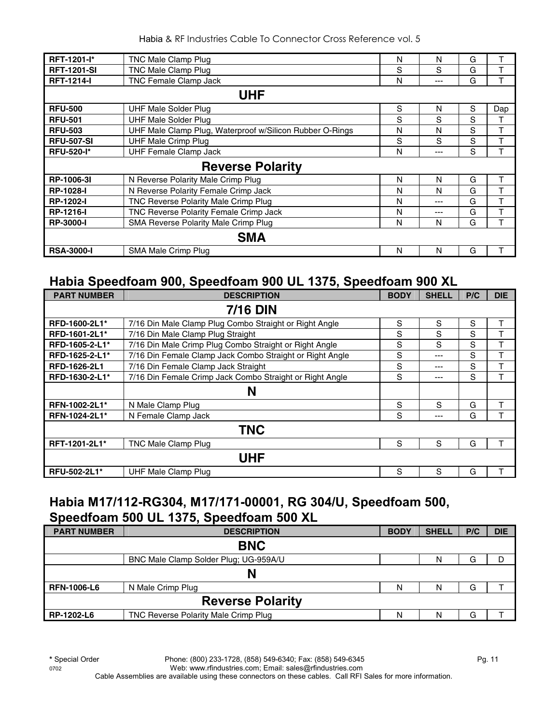| RFT-1201-l*        | TNC Male Clamp Plug                                      | N | N     | G |     |  |  |  |  |  |
|--------------------|----------------------------------------------------------|---|-------|---|-----|--|--|--|--|--|
| <b>RFT-1201-SI</b> | TNC Male Clamp Plug                                      | S | S     | G |     |  |  |  |  |  |
| <b>RFT-1214-I</b>  | TNC Female Clamp Jack                                    | N | $---$ | G |     |  |  |  |  |  |
| <b>UHF</b>         |                                                          |   |       |   |     |  |  |  |  |  |
| <b>RFU-500</b>     | <b>UHF Male Solder Plug</b>                              | S | N     | S | Dap |  |  |  |  |  |
| <b>RFU-501</b>     | <b>UHF Male Solder Plug</b>                              | S | S     | S |     |  |  |  |  |  |
| <b>RFU-503</b>     | UHF Male Clamp Plug, Waterproof w/Silicon Rubber O-Rings | N | N     | S | т   |  |  |  |  |  |
| <b>RFU-507-SI</b>  | <b>UHF Male Crimp Plug</b>                               | S | S     | S | т   |  |  |  |  |  |
| <b>RFU-520-I*</b>  | <b>UHF Female Clamp Jack</b>                             | N | ---   | S |     |  |  |  |  |  |
|                    | <b>Reverse Polarity</b>                                  |   |       |   |     |  |  |  |  |  |
| RP-1006-3I         | N Reverse Polarity Male Crimp Plug                       | N | N     | G |     |  |  |  |  |  |
| <b>RP-1028-I</b>   | N Reverse Polarity Female Crimp Jack                     | N | N     | G |     |  |  |  |  |  |
| <b>RP-1202-I</b>   | TNC Reverse Polarity Male Crimp Plug                     | N | ---   | G | т   |  |  |  |  |  |
| <b>RP-1216-I</b>   | TNC Reverse Polarity Female Crimp Jack                   | N | ---   | G | т   |  |  |  |  |  |
| <b>RP-3000-I</b>   | <b>SMA Reverse Polarity Male Crimp Plug</b>              | N | N     | G |     |  |  |  |  |  |
|                    | <b>SMA</b>                                               |   |       |   |     |  |  |  |  |  |
| <b>RSA-3000-I</b>  | SMA Male Crimp Plug                                      | N | N     | G |     |  |  |  |  |  |

#### **Habia Speedfoam 900, Speedfoam 900 UL 1375, Speedfoam 900 XL**

| <b>PART NUMBER</b> | <b>DESCRIPTION</b>                                       | <b>BODY</b> | <b>SHELL</b> | P/C | <b>DIE</b> |
|--------------------|----------------------------------------------------------|-------------|--------------|-----|------------|
|                    | <b>7/16 DIN</b>                                          |             |              |     |            |
| RFD-1600-2L1*      | 7/16 Din Male Clamp Plug Combo Straight or Right Angle   | S           | S            | S   | Τ          |
| RFD-1601-2L1*      | 7/16 Din Male Clamp Plug Straight                        | S           | S            | S   | T          |
| RFD-1605-2-L1*     | 7/16 Din Male Crimp Plug Combo Straight or Right Angle   | S           | S            | S   | T          |
| RFD-1625-2-L1*     | 7/16 Din Female Clamp Jack Combo Straight or Right Angle | S           | $--$         | S   | T          |
| RFD-1626-2L1       | 7/16 Din Female Clamp Jack Straight                      | S           | $---$        | S   |            |
| RFD-1630-2-L1*     | 7/16 Din Female Crimp Jack Combo Straight or Right Angle | S           | $---$        | S   | T          |
|                    | N                                                        |             |              |     |            |
| RFN-1002-2L1*      | N Male Clamp Plug                                        | S           | S            | G   | т          |
| RFN-1024-2L1*      | N Female Clamp Jack                                      | S           | $---$        | G   |            |
|                    | <b>TNC</b>                                               |             |              |     |            |
| RFT-1201-2L1*      | TNC Male Clamp Plug                                      | S           | S            | G   | т          |
|                    | <b>UHF</b>                                               |             |              |     |            |
| RFU-502-2L1*       | <b>UHF Male Clamp Plug</b>                               | S           | S            | G   | т          |

#### **Habia M17/112-RG304, M17/171-00001, RG 304/U, Speedfoam 500, Speedfoam 500 UL 1375, Speedfoam 500 XL**

| <b>PART NUMBER</b> | <b>DESCRIPTION</b>                    | <b>BODY</b> | <b>SHELL</b> | P/C | <b>DIE</b> |  |
|--------------------|---------------------------------------|-------------|--------------|-----|------------|--|
|                    | <b>BNC</b>                            |             |              |     |            |  |
|                    | BNC Male Clamp Solder Plug; UG-959A/U |             | N            | G   |            |  |
|                    | N                                     |             |              |     |            |  |
| <b>RFN-1006-L6</b> | N Male Crimp Plug                     | N           | N            | G   |            |  |
|                    | <b>Reverse Polarity</b>               |             |              |     |            |  |
| RP-1202-L6         | TNC Reverse Polarity Male Crimp Plug  | N           | N            | G   |            |  |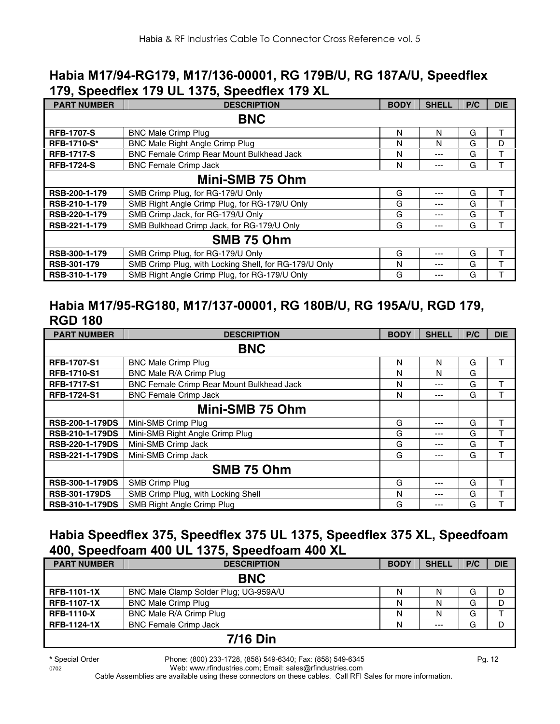#### **Habia M17/94-RG179, M17/136-00001, RG 179B/U, RG 187A/U, Speedflex 179, Speedflex 179 UL 1375, Speedflex 179 XL**

| <b>PART NUMBER</b> | <b>DESCRIPTION</b>                                    | <b>BODY</b> | <b>SHELL</b> | P/C | <b>DIE</b> |  |
|--------------------|-------------------------------------------------------|-------------|--------------|-----|------------|--|
| <b>BNC</b>         |                                                       |             |              |     |            |  |
| <b>RFB-1707-S</b>  | <b>BNC Male Crimp Plug</b>                            | N           | N            | G   | т          |  |
| <b>RFB-1710-S*</b> | <b>BNC Male Right Angle Crimp Plug</b>                | N           | N            | G   | D          |  |
| <b>RFB-1717-S</b>  | <b>BNC Female Crimp Rear Mount Bulkhead Jack</b>      | N           | ---          | G   |            |  |
| <b>RFB-1724-S</b>  | <b>BNC Female Crimp Jack</b>                          | N           | ---          | G   |            |  |
| Mini-SMB 75 Ohm    |                                                       |             |              |     |            |  |
| RSB-200-1-179      | SMB Crimp Plug, for RG-179/U Only                     | G           | ---          | G   | т          |  |
| RSB-210-1-179      | SMB Right Angle Crimp Plug, for RG-179/U Only         | G           | ---          | G   |            |  |
| RSB-220-1-179      | SMB Crimp Jack, for RG-179/U Only                     | G           | ---          | G   |            |  |
| RSB-221-1-179      | SMB Bulkhead Crimp Jack, for RG-179/U Only            | G           | ---          | G   |            |  |
| SMB 75 Ohm         |                                                       |             |              |     |            |  |
| RSB-300-1-179      | SMB Crimp Plug, for RG-179/U Only                     | G           | ---          | G   |            |  |
| RSB-301-179        | SMB Crimp Plug, with Locking Shell, for RG-179/U Only | N           | ---          | G   |            |  |
| RSB-310-1-179      | SMB Right Angle Crimp Plug, for RG-179/U Only         | G           | ---          | G   |            |  |

#### **Habia M17/95-RG180, M17/137-00001, RG 180B/U, RG 195A/U, RGD 179, RGD 180**

| <b>PART NUMBER</b>     | <b>DESCRIPTION</b>                        | <b>BODY</b> | <b>SHELL</b> | P/C | <b>DIE</b> |
|------------------------|-------------------------------------------|-------------|--------------|-----|------------|
|                        | <b>BNC</b>                                |             |              |     |            |
| <b>RFB-1707-S1</b>     | <b>BNC Male Crimp Plug</b>                | N           | N            | G   |            |
| <b>RFB-1710-S1</b>     | BNC Male R/A Crimp Plug                   | N           | N            | G   |            |
| <b>RFB-1717-S1</b>     | BNC Female Crimp Rear Mount Bulkhead Jack | N           | ---          | G   | т          |
| <b>RFB-1724-S1</b>     | <b>BNC Female Crimp Jack</b>              | N           | ---          | G   |            |
|                        | Mini-SMB 75 Ohm                           |             |              |     |            |
| <b>RSB-200-1-179DS</b> | Mini-SMB Crimp Plug                       | G           | ---          | G   | т          |
| <b>RSB-210-1-179DS</b> | Mini-SMB Right Angle Crimp Plug           | G           | ---          | G   | т          |
| <b>RSB-220-1-179DS</b> | Mini-SMB Crimp Jack                       | G           | ---          | G   | ᠇          |
| RSB-221-1-179DS        | Mini-SMB Crimp Jack                       | G           | ---          | G   | т          |
|                        | SMB 75 Ohm                                |             |              |     |            |
| <b>RSB-300-1-179DS</b> | SMB Crimp Plug                            | G           | ---          | G   | т          |
| <b>RSB-301-179DS</b>   | SMB Crimp Plug, with Locking Shell        | N           | ---          | G   |            |
| <b>RSB-310-1-179DS</b> | SMB Right Angle Crimp Plug                | G           | ---          | G   |            |

#### **Habia Speedflex 375, Speedflex 375 UL 1375, Speedflex 375 XL, Speedfoam 400, Speedfoam 400 UL 1375, Speedfoam 400 XL**

| <b>PART NUMBER</b> | <b>DESCRIPTION</b>                    | <b>BODY</b> | <b>SHELL</b> | P/C | <b>DIE</b> |
|--------------------|---------------------------------------|-------------|--------------|-----|------------|
| <b>BNC</b>         |                                       |             |              |     |            |
| <b>RFB-1101-1X</b> | BNC Male Clamp Solder Plug; UG-959A/U | N           |              | G   |            |
| <b>RFB-1107-1X</b> | <b>BNC Male Crimp Plug</b>            | N           | N            | G   | D          |
| <b>RFB-1110-X</b>  | BNC Male R/A Crimp Plug               | N           | N            | G   |            |
| <b>RFB-1124-1X</b> | <b>BNC Female Crimp Jack</b>          | N           | $---$        | G   | D          |
| 7/16 Din           |                                       |             |              |     |            |

#### **7/16 Din**

**\*** Special Order Phone: (800) 233-1728, (858) 549-6340; Fax: (858) 549-6345 Pg. 12

0702 Web: www.rfindustries.com; Email: sales@rfindustries.com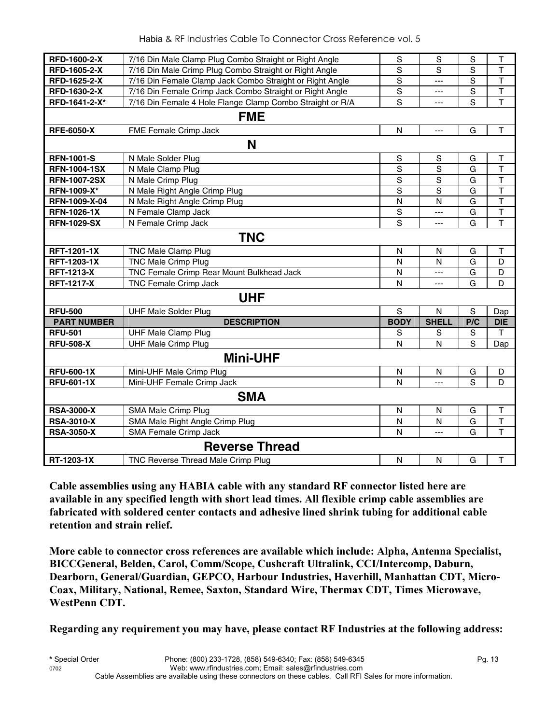| RFD-1600-2-X          | 7/16 Din Male Clamp Plug Combo Straight or Right Angle    | S              | S              | S   | $\sf T$                 |  |  |
|-----------------------|-----------------------------------------------------------|----------------|----------------|-----|-------------------------|--|--|
| RFD-1605-2-X          | 7/16 Din Male Crimp Plug Combo Straight or Right Angle    | S              | S              | S   | T                       |  |  |
| RFD-1625-2-X          | 7/16 Din Female Clamp Jack Combo Straight or Right Angle  | $\mathbf S$    | $\overline{a}$ | S   | $\overline{\mathsf{T}}$ |  |  |
| RFD-1630-2-X          | 7/16 Din Female Crimp Jack Combo Straight or Right Angle  | S              | ---            | S   | T                       |  |  |
| RFD-1641-2-X*         | 7/16 Din Female 4 Hole Flange Clamp Combo Straight or R/A | S              | ---            | S   | $\mathsf{T}$            |  |  |
|                       | <b>FME</b>                                                |                |                |     |                         |  |  |
| <b>RFE-6050-X</b>     | FME Female Crimp Jack                                     | N              | $---$          | G   | $\mathsf{T}$            |  |  |
|                       | N                                                         |                |                |     |                         |  |  |
| <b>RFN-1001-S</b>     | N Male Solder Plug                                        | $\mathbf S$    | S              | G   | T                       |  |  |
| <b>RFN-1004-1SX</b>   | N Male Clamp Plug                                         | $\mathbf S$    | S              | G   | $\overline{\mathsf{T}}$ |  |  |
| <b>RFN-1007-2SX</b>   | N Male Crimp Plug                                         | $\mathbf S$    | S              | G   | $\top$                  |  |  |
| <b>RFN-1009-X*</b>    | N Male Right Angle Crimp Plug                             | S              | S              | G   | $\overline{\mathsf{T}}$ |  |  |
| RFN-1009-X-04         | N Male Right Angle Crimp Plug                             | N              | $\mathsf{N}$   | G   | $\overline{\mathsf{T}}$ |  |  |
| <b>RFN-1026-1X</b>    | N Female Clamp Jack                                       | $\mathbb S$    | $---$          | G   | $\mathsf T$             |  |  |
| <b>RFN-1029-SX</b>    | N Female Crimp Jack                                       | S              | ---            | G   | $\overline{\mathsf{T}}$ |  |  |
| <b>TNC</b>            |                                                           |                |                |     |                         |  |  |
| <b>RFT-1201-1X</b>    | <b>TNC Male Clamp Plug</b>                                | N              | N              | G   | T                       |  |  |
| <b>RFT-1203-1X</b>    | <b>TNC Male Crimp Plug</b>                                | N              | N              | G   | D                       |  |  |
| <b>RFT-1213-X</b>     | TNC Female Crimp Rear Mount Bulkhead Jack                 | N              | $\overline{a}$ | G   | D                       |  |  |
| <b>RFT-1217-X</b>     | TNC Female Crimp Jack                                     | N              | $\overline{a}$ | G   | D                       |  |  |
| <b>UHF</b>            |                                                           |                |                |     |                         |  |  |
| <b>RFU-500</b>        | <b>UHF Male Solder Plug</b>                               | $\overline{s}$ | $\mathsf{N}$   | S   | Dap                     |  |  |
| <b>PART NUMBER</b>    | <b>DESCRIPTION</b>                                        | <b>BODY</b>    | <b>SHELL</b>   | P/C | <b>DIE</b>              |  |  |
| <b>RFU-501</b>        | <b>UHF Male Clamp Plug</b>                                | S              | S              | S   | т                       |  |  |
| <b>RFU-508-X</b>      | <b>UHF Male Crimp Plug</b>                                | N              | N              | S   | Dap                     |  |  |
| <b>Mini-UHF</b>       |                                                           |                |                |     |                         |  |  |
| <b>RFU-600-1X</b>     | Mini-UHF Male Crimp Plug                                  | N              | N              | G   | D                       |  |  |
| <b>RFU-601-1X</b>     | Mini-UHF Female Crimp Jack                                | N              | $---$          | S   | D                       |  |  |
| <b>SMA</b>            |                                                           |                |                |     |                         |  |  |
| <b>RSA-3000-X</b>     | SMA Male Crimp Plug                                       | N              | N              | G   | $\top$                  |  |  |
| <b>RSA-3010-X</b>     | SMA Male Right Angle Crimp Plug                           | N              | $\mathsf{N}$   | G   | $\top$                  |  |  |
| <b>RSA-3050-X</b>     | SMA Female Crimp Jack                                     | N              | $-$            | G   | $\overline{\mathsf{T}}$ |  |  |
| <b>Reverse Thread</b> |                                                           |                |                |     |                         |  |  |
| RT-1203-1X            | TNC Reverse Thread Male Crimp Plug                        | $\mathsf{N}$   | N              | G   | $\mathsf T$             |  |  |

**Cable assemblies using any HABIA cable with any standard RF connector listed here are available in any specified length with short lead times. All flexible crimp cable assemblies are fabricated with soldered center contacts and adhesive lined shrink tubing for additional cable retention and strain relief.** 

**More cable to connector cross references are available which include: Alpha, Antenna Specialist, BICCGeneral, Belden, Carol, Comm/Scope, Cushcraft Ultralink, CCI/Intercomp, Daburn, Dearborn, General/Guardian, GEPCO, Harbour Industries, Haverhill, Manhattan CDT, Micro-Coax, Military, National, Remee, Saxton, Standard Wire, Thermax CDT, Times Microwave, WestPenn CDT.** 

**Regarding any requirement you may have, please contact RF Industries at the following address:**